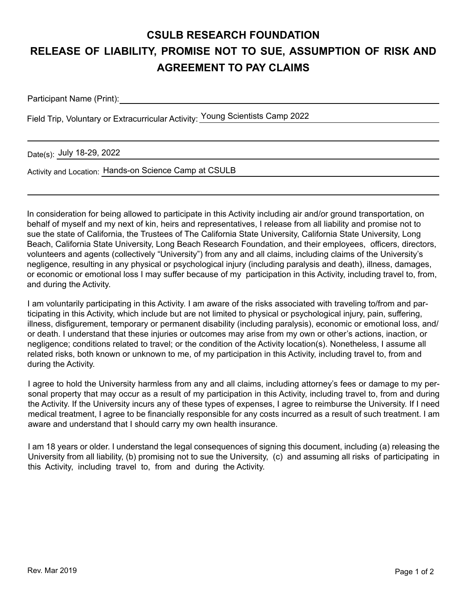## **CSULB RESEARCH FOUNDATION RELEASE OF LIABILITY, PROMISE NOT TO SUE, ASSUMPTION OF RISK AND AGREEMENT TO PAY CLAIMS**

Participant Name (Print):

Field Trip, Voluntary or Extracurricular Activity: Young Scientists Camp 2022

Date(s): July 18-29, 2022

Activity and Location: Hands-on Science Camp at CSULB

In consideration for being allowed to participate in this Activity including air and/or ground transportation, on behalf of myself and my next of kin, heirs and representatives, I release from all liability and promise not to sue the state of California, the Trustees of The California State University, California State University, Long Beach, California State University, Long Beach Research Foundation, and their employees, officers, directors, volunteers and agents (collectively "University") from any and all claims, including claims of the University's negligence, resulting in any physical or psychological injury (including paralysis and death), illness, damages, or economic or emotional loss I may suffer because of my participation in this Activity, including travel to, from, and during the Activity.

I am voluntarily participating in this Activity. I am aware of the risks associated with traveling to/from and participating in this Activity, which include but are not limited to physical or psychological injury, pain, suffering, illness, disfigurement, temporary or permanent disability (including paralysis), economic or emotional loss, and/ or death. I understand that these injuries or outcomes may arise from my own or other's actions, inaction, or negligence; conditions related to travel; or the condition of the Activity location(s). Nonetheless, I assume all related risks, both known or unknown to me, of my participation in this Activity, including travel to, from and during the Activity.

I agree to hold the University harmless from any and all claims, including attorney's fees or damage to my personal property that may occur as a result of my participation in this Activity, including travel to, from and during the Activity. If the University incurs any of these types of expenses, I agree to reimburse the University. If I need medical treatment, I agree to be financially responsible for any costs incurred as a result of such treatment. I am aware and understand that I should carry my own health insurance.

I am 18 years or older. I understand the legal consequences of signing this document, including (a) releasing the University from all liability, (b) promising not to sue the University, (c) and assuming all risks of participating in this Activity, including travel to, from and during the Activity.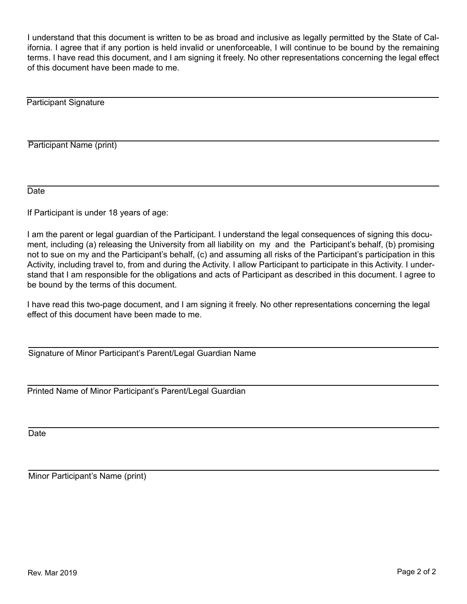I understand that this document is written to be as broad and inclusive as legally permitted by the State of California. I agree that if any portion is held invalid or unenforceable, I will continue to be bound by the remaining terms. I have read this document, and I am signing it freely. No other representations concerning the legal effect of this document have been made to me.

Participant Signature

Participant Name (print)

Date

If Participant is under 18 years of age:

I am the parent or legal guardian of the Participant. I understand the legal consequences of signing this document, including (a) releasing the University from all liability on my and the Participant's behalf, (b) promising not to sue on my and the Participant's behalf, (c) and assuming all risks of the Participant's participation in this Activity, including travel to, from and during the Activity. I allow Participant to participate in this Activity. I understand that I am responsible for the obligations and acts of Participant as described in this document. I agree to be bound by the terms of this document.

I have read this two-page document, and I am signing it freely. No other representations concerning the legal effect of this document have been made to me.

Signature of Minor Participant's Parent/Legal Guardian Name

Printed Name of Minor Participant's Parent/Legal Guardian

Date

Minor Participant's Name (print)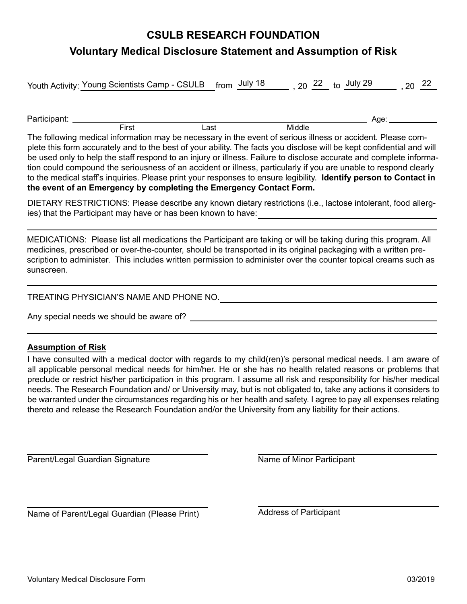## **CSULB RESEARCH FOUNDATION Voluntary Medical Disclosure Statement and Assumption of Risk**

Youth Activity: <u>Young Scientists Camp - CSULB \_ f</u>rom  $\frac{\text{July 18}}{\text{=}}$  , 20  $\frac{\text{22}}{\text{=}}$  to  $\frac{\text{July 29}}{\text{=}}$  , 20  $\frac{\text{22}}{\text{=}}$ 

Participant: \_\_\_\_\_\_\_\_\_\_\_ First Last Middle Age:

The following medical information may be necessary in the event of serious illness or accident. Please complete this form accurately and to the best of your ability. The facts you disclose will be kept confidential and will be used only to help the staff respond to an injury or illness. Failure to disclose accurate and complete information could compound the seriousness of an accident or illness, particularly if you are unable to respond clearly to the medical staff's inquiries. Please print your responses to ensure legibility. **Identify person to Contact in the event of an Emergency by completing the Emergency Contact Form.**

DIETARY RESTRICTIONS: Please describe any known dietary restrictions (i.e., lactose intolerant, food allergies) that the Participant may have or has been known to have:

MEDICATIONS: Please list all medications the Participant are taking or will be taking during this program. All medicines, prescribed or over-the-counter, should be transported in its original packaging with a written prescription to administer. This includes written permission to administer over the counter topical creams such as sunscreen.

TREATING PHYSICIAN'S NAME AND PHONE NO. **CONSIDER AND A PHONE ASSESSMENT ASSESSMENT ASSESSMENT** 

Any special needs we should be aware of?

#### **Assumption of Risk**

I have consulted with a medical doctor with regards to my child(ren)'s personal medical needs. I am aware of all applicable personal medical needs for him/her. He or she has no health related reasons or problems that preclude or restrict his/her participation in this program. I assume all risk and responsibility for his/her medical needs. The Research Foundation and/ or University may, but is not obligated to, take any actions it considers to be warranted under the circumstances regarding his or her health and safety. I agree to pay all expenses relating thereto and release the Research Foundation and/or the University from any liability for their actions.

Parent/Legal Guardian Signature Name of Minor Participant

Name of Parent/Legal Guardian (Please Print) Address of Participant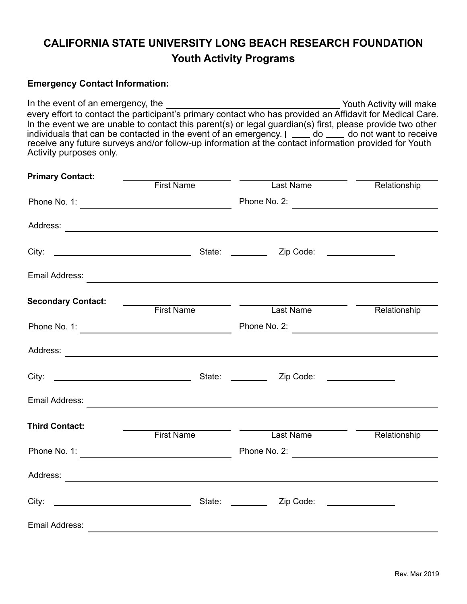## **CALIFORNIA STATE UNIVERSITY LONG BEACH RESEARCH FOUNDATION Youth Activity Programs**

### **Emergency Contact Information:**

In the event of an emergency, the Internal Control of Activity will make every effort to contact the participant's primary contact who has provided an Affidavit for Medical Care. In the event we are unable to contact this parent(s) or legal guardian(s) first, please provide two other individuals that can be contacted in the event of an emergency. I  $\rule{1em}{0.45mm}$  do not want to receive receive any future surveys and/or follow-up information at the contact information provided for Youth Activity purposes only.

| <b>Primary Contact:</b>   |                                            |                                                                                                                                                                                                                                |              |
|---------------------------|--------------------------------------------|--------------------------------------------------------------------------------------------------------------------------------------------------------------------------------------------------------------------------------|--------------|
|                           | <b>First Name</b>                          | Last Name                                                                                                                                                                                                                      | Relationship |
|                           |                                            | Phone No. 2:                                                                                                                                                                                                                   |              |
|                           |                                            |                                                                                                                                                                                                                                |              |
|                           |                                            |                                                                                                                                                                                                                                |              |
|                           |                                            | Email Address: Production of the Contract of the Contract of the Contract of the Contract of the Contract of the Contract of the Contract of the Contract of the Contract of the Contract of the Contract of the Contract of t |              |
| <b>Secondary Contact:</b> | $\mathcal{L}^{\text{max}}$ .<br>First Name | <b>Example 2016</b> Last Name                                                                                                                                                                                                  | Relationship |
|                           |                                            |                                                                                                                                                                                                                                |              |
|                           |                                            |                                                                                                                                                                                                                                |              |
|                           |                                            |                                                                                                                                                                                                                                |              |
|                           |                                            |                                                                                                                                                                                                                                |              |
| <b>Third Contact:</b>     | <b>First Name</b>                          | Last Name                                                                                                                                                                                                                      | Relationship |
|                           |                                            |                                                                                                                                                                                                                                |              |
|                           |                                            |                                                                                                                                                                                                                                |              |
|                           |                                            | Zip Code: _______________                                                                                                                                                                                                      |              |
| Email Address:            |                                            |                                                                                                                                                                                                                                |              |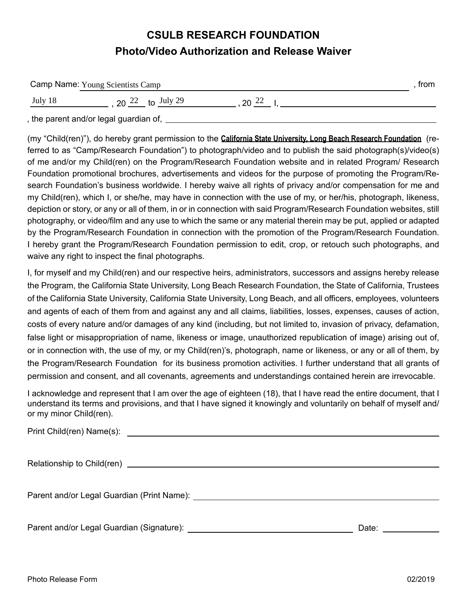## **CSULB RESEARCH FOUNDATION Photo/Video Authorization and Release Waiver**

| Camp Name: Young Scientists Camp |                                        |         | trom |
|----------------------------------|----------------------------------------|---------|------|
| July 18                          | 20 $22$ to July 29                     | 20 $22$ |      |
|                                  | , the parent and/or legal guardian of, |         |      |

(my "Child(ren)"), do hereby grant permission to the **California State University, Long Beach Research Foundation** (referred to as "Camp/Research Foundation") to photograph/video and to publish the said photograph(s)/video(s) of me and/or my Child(ren) on the Program/Research Foundation website and in related Program/ Research Foundation promotional brochures, advertisements and videos for the purpose of promoting the Program/Research Foundation's business worldwide. I hereby waive all rights of privacy and/or compensation for me and my Child(ren), which I, or she/he, may have in connection with the use of my, or her/his, photograph, likeness, depiction or story, or any or all of them, in or in connection with said Program/Research Foundation websites, still photography, or video/film and any use to which the same or any material therein may be put, applied or adapted by the Program/Research Foundation in connection with the promotion of the Program/Research Foundation. I hereby grant the Program/Research Foundation permission to edit, crop, or retouch such photographs, and waive any right to inspect the final photographs.

I, for myself and my Child(ren) and our respective heirs, administrators, successors and assigns hereby release the Program, the California State University, Long Beach Research Foundation, the State of California, Trustees of the California State University, California State University, Long Beach, and all officers, employees, volunteers and agents of each of them from and against any and all claims, liabilities, losses, expenses, causes of action, costs of every nature and/or damages of any kind (including, but not limited to, invasion of privacy, defamation, false light or misappropriation of name, likeness or image, unauthorized republication of image) arising out of, or in connection with, the use of my, or my Child(ren)'s, photograph, name or likeness, or any or all of them, by the Program/Research Foundation for its business promotion activities. I further understand that all grants of permission and consent, and all covenants, agreements and understandings contained herein are irrevocable.

I acknowledge and represent that I am over the age of eighteen (18), that I have read the entire document, that I understand its terms and provisions, and that I have signed it knowingly and voluntarily on behalf of myself and/ or my minor Child(ren).

| Print Child(ren) Name(s): |  |
|---------------------------|--|
|---------------------------|--|

Relationship to Child(ren)

Parent and/or Legal Guardian (Print Name):

Parent and/or Legal Guardian (Signature): New York Channel Control of Date: Date: Date: Date: Date: Date: Date: Date: Date: Date: Date: Date: Date: Date: Date: Date: Date: Date: Date: Date: Date: Date: Date: Date: Date: Da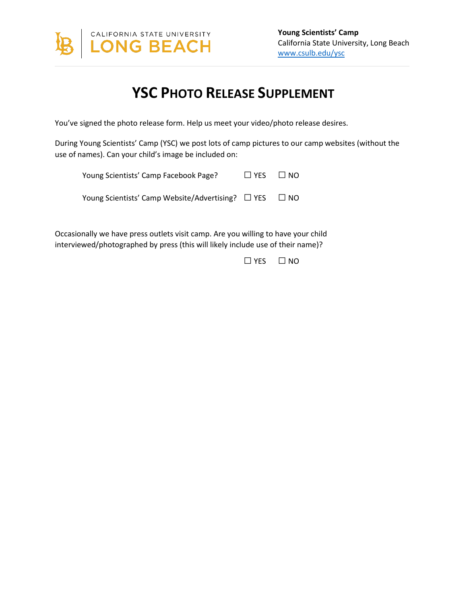

# **YSC PHOTO RELEASE SUPPLEMENT**

You've signed the photo release form. Help us meet your video/photo release desires.

During Young Scientists' Camp (YSC) we post lots of camp pictures to our camp websites (without the use of names). Can your child's image be included on:

| Young Scientists' Camp Facebook Page?                            | $\Box$ YES $\Box$ NO |  |
|------------------------------------------------------------------|----------------------|--|
| Young Scientists' Camp Website/Advertising? $\Box$ YES $\Box$ NO |                      |  |

Occasionally we have press outlets visit camp. Are you willing to have your child interviewed/photographed by press (this will likely include use of their name)?

□YES □ NO